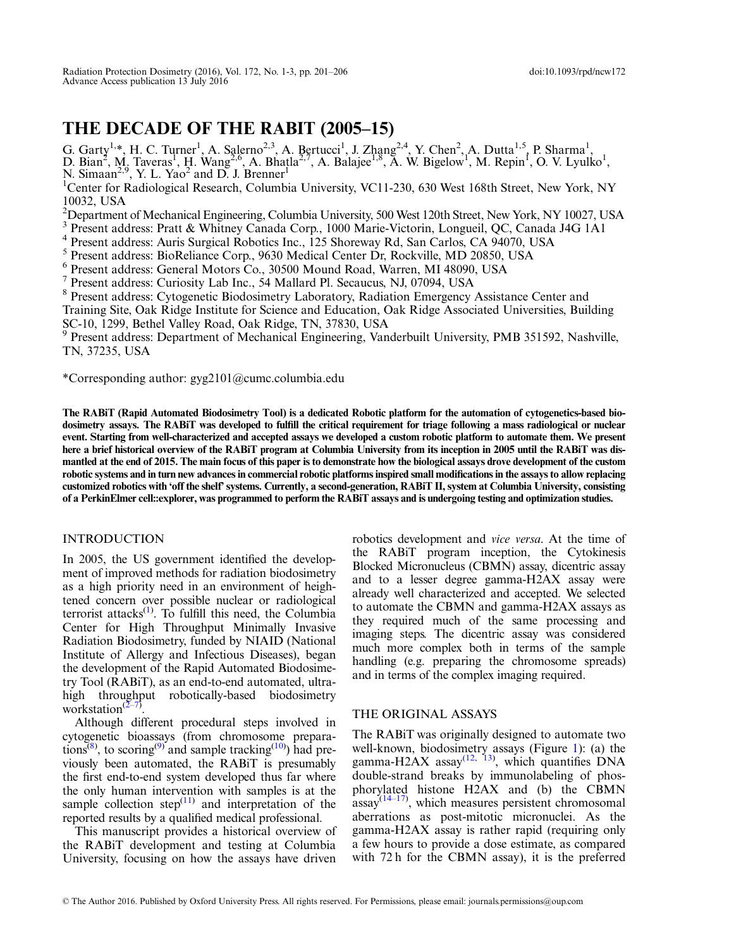# THE DECADE OF THE RABIT (2005–15)

G. Garty<sup>1,\*</sup>, H. C. Turner<sup>1</sup>, A. Salerno<sup>2,3</sup>, A. Bertucci<sup>1</sup>, J. Zhang<sup>2,4</sup>, Y. Chen<sup>2</sup>, A. Dutta<sup>1,5</sup>, P. Sharma<sup>1</sup>, D. Bian<sup>2</sup>, M. Taveras<sup>1</sup>, H. Wang<sup>2,6</sup>, A. Bhatla<sup>2,7</sup>, A. Balajee<sup>1,8</sup>, A. W. Bigelow<sup>1</sup>, M. Repin<sup></sup>

<sup>1</sup>Center for Radiological Research, Columbia University, VC11-230, 630 West 168th Street, New York, NY 10032, USA

<sup>2</sup>Department of Mechanical Engineering, Columbia University, 500 West 120th Street, New York, NY 10027, USA

<sup>3</sup> Present address: Pratt & Whitney Canada Corp., 1000 Marie-Victorin, Longueil, QC, Canada J4G 1A1

<sup>4</sup> Present address: Auris Surgical Robotics Inc., 125 Shoreway Rd, San Carlos, CA 94070, USA<br><sup>5</sup> Present address: BioReliance Corp., 9630 Medical Center Dr. Rockville, MD 20850, USA

<sup>5</sup> Present address: BioReliance Corp., 9630 Medical Center Dr, Rockville, MD 20850, USA

<sup>6</sup> Present address: General Motors Co., 30500 Mound Road, Warren, MI 48090, USA

<sup>7</sup> Present address: Curiosity Lab Inc., 54 Mallard Pl. Secaucus, NJ, 07094, USA

<sup>8</sup> Present address: Cytogenetic Biodosimetry Laboratory, Radiation Emergency Assistance Center and

Training Site, Oak Ridge Institute for Science and Education, Oak Ridge Associated Universities, Building SC-10, 1299, Bethel Valley Road, Oak Ridge, TN, 37830, USA

<sup>9</sup> Present address: Department of Mechanical Engineering, Vanderbuilt University, PMB 351592, Nashville,

TN, 37235, USA

\*Corresponding author: gyg2101@cumc.columbia.edu

The RABiT (Rapid Automated Biodosimetry Tool) is a dedicated Robotic platform for the automation of cytogenetics-based biodosimetry assays. The RABiT was developed to fulfill the critical requirement for triage following a mass radiological or nuclear event. Starting from well-characterized and accepted assays we developed a custom robotic platform to automate them. We present here a brief historical overview of the RABiT program at Columbia University from its inception in 2005 until the RABiT was dismantled at the end of 2015. The main focus of this paper is to demonstrate how the biological assays drove development of the custom robotic systems and in turn new advances in commercial robotic platforms inspired small modifications in the assays to allow replacing customized robotics with 'off the shelf' systems. Currently, a second-generation, RABiT II, system at Columbia University, consisting of a PerkinElmer cell::explorer, was programmed to perform the RABiT assays and is undergoing testing and optimization studies.

# INTRODUCTION

In 2005, the US government identified the development of improved methods for radiation biodosimetry as a high priority need in an environment of heightened concern over possible nuclear or radiological terrorist attacks $^{(1)}$  $^{(1)}$  $^{(1)}$ . To fulfill this need, the Columbia Center for High Throughput Minimally Invasive Radiation Biodosimetry, funded by NIAID (National Institute of Allergy and Infectious Diseases), began the development of the Rapid Automated Biodosimetry Tool (RABiT), as an end-to-end automated, ultrahigh throughput robotically-based biodosimetry workstation<sup> $(2-\pi)$  $(2-\pi)$ </sup> .

Although different procedural steps involved in cytogenetic bioassays (from chromosome prepara-tions<sup>[\(8](#page-4-0))</sup>, to scoring<sup>([9\)](#page-4-0)</sup> and sample tracking<sup>([10](#page-4-0))</sup>) had previously been automated, the RABiT is presumably the first end-to-end system developed thus far where the only human intervention with samples is at the sample collection step $^{(11)}$  $^{(11)}$  $^{(11)}$  and interpretation of the reported results by a qualified medical professional.

This manuscript provides a historical overview of the RABiT development and testing at Columbia University, focusing on how the assays have driven robotics development and vice versa. At the time of the RABiT program inception, the Cytokinesis Blocked Micronucleus (CBMN) assay, dicentric assay and to a lesser degree gamma-H2AX assay were already well characterized and accepted. We selected to automate the CBMN and gamma-H2AX assays as they required much of the same processing and imaging steps. The dicentric assay was considered much more complex both in terms of the sample handling (e.g. preparing the chromosome spreads) and in terms of the complex imaging required.

#### THE ORIGINAL ASSAYS

The RABiT was originally designed to automate two well-known, biodosimetry assays (Figure [1](#page-1-0)): (a) the gamma-H2AX  $assay^{(12, 13)}$  $assay^{(12, 13)}$  $assay^{(12, 13)}$  $assay^{(12, 13)}$  $assay^{(12, 13)}$ , which quantifies DNA double-strand breaks by immunolabeling of phosphorylated histone H2AX and (b) the CBMN  $\arccos(14-17)$  $\arccos(14-17)$  $\arccos(14-17)$  $\arccos(14-17)$  $\arccos(14-17)$ , which measures persistent chromosomal aberrations as post-mitotic micronuclei. As the gamma-H2AX assay is rather rapid (requiring only a few hours to provide a dose estimate, as compared with 72 h for the CBMN assay), it is the preferred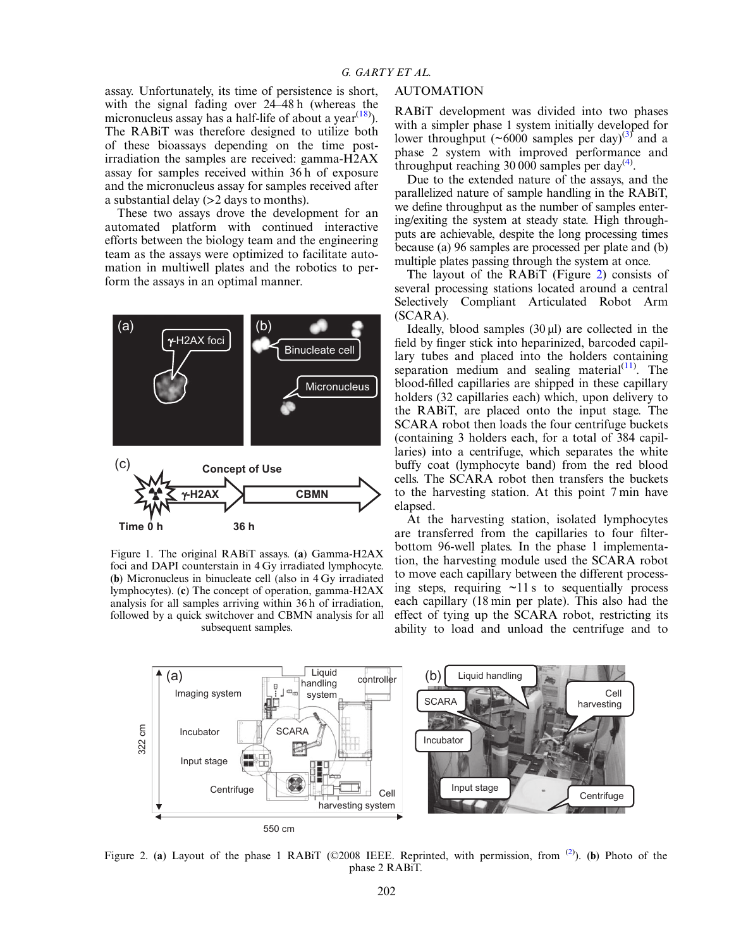<span id="page-1-0"></span>assay. Unfortunately, its time of persistence is short, with the signal fading over 24–48 h (whereas the micronucleus assay has a half-life of about a year<sup> $(18)$  $(18)$ </sup>). The RABiT was therefore designed to utilize both of these bioassays depending on the time postirradiation the samples are received: gamma-H2AX assay for samples received within 36 h of exposure and the micronucleus assay for samples received after a substantial delay (>2 days to months).

These two assays drove the development for an automated platform with continued interactive efforts between the biology team and the engineering team as the assays were optimized to facilitate automation in multiwell plates and the robotics to perform the assays in an optimal manner.



Figure 1. The original RABiT assays. (a) Gamma-H2AX foci and DAPI counterstain in 4 Gy irradiated lymphocyte. (b) Micronucleus in binucleate cell (also in 4 Gy irradiated lymphocytes). (c) The concept of operation, gamma-H2AX analysis for all samples arriving within 36 h of irradiation, followed by a quick switchover and CBMN analysis for all subsequent samples.

#### AUTOMATION

RABiT development was divided into two phases with a simpler phase 1 system initially developed for lower throughput (~6000 samples per day)<sup>[\(3\)](#page-4-0)</sup> and a phase 2 system with improved performance and throughput reaching  $30\,000$  samples per day<sup>([4](#page-4-0))</sup>.

Due to the extended nature of the assays, and the parallelized nature of sample handling in the RABiT, we define throughput as the number of samples entering/exiting the system at steady state. High throughputs are achievable, despite the long processing times because (a) 96 samples are processed per plate and (b) multiple plates passing through the system at once.

The layout of the RABiT (Figure 2) consists of several processing stations located around a central Selectively Compliant Articulated Robot Arm (SCARA).

Ideally, blood samples (30 µl) are collected in the field by finger stick into heparinized, barcoded capillary tubes and placed into the holders containing separation medium and sealing material $(11)$  $(11)$ . The blood-filled capillaries are shipped in these capillary holders (32 capillaries each) which, upon delivery to the RABiT, are placed onto the input stage. The SCARA robot then loads the four centrifuge buckets (containing 3 holders each, for a total of 384 capillaries) into a centrifuge, which separates the white buffy coat (lymphocyte band) from the red blood cells. The SCARA robot then transfers the buckets to the harvesting station. At this point 7 min have elapsed.

At the harvesting station, isolated lymphocytes are transferred from the capillaries to four filterbottom 96-well plates. In the phase 1 implementation, the harvesting module used the SCARA robot to move each capillary between the different processing steps, requiring  $\sim$ 11 s to sequentially process each capillary (18 min per plate). This also had the effect of tying up the SCARA robot, restricting its ability to load and unload the centrifuge and to



Figure 2. (a) Layout of the phase 1 RABiT ( $\heartsuit$ 2008 IEEE. Reprinted, with permission, from <sup>([2\)](#page-4-0)</sup>). (b) Photo of the phase 2 RABiT.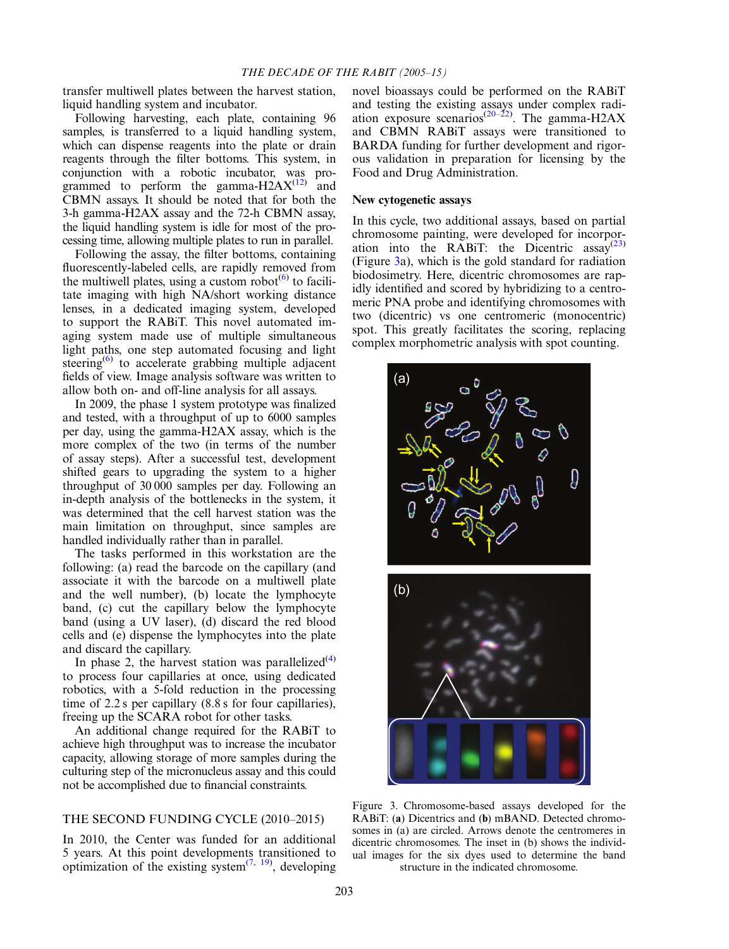<span id="page-2-0"></span>transfer multiwell plates between the harvest station, liquid handling system and incubator.

Following harvesting, each plate, containing 96 samples, is transferred to a liquid handling system, which can dispense reagents into the plate or drain reagents through the filter bottoms. This system, in conjunction with a robotic incubator, was programmed to perform the gamma- $H2AX^{(12)}$  $H2AX^{(12)}$  $H2AX^{(12)}$  and CBMN assays. It should be noted that for both the 3-h gamma-H2AX assay and the 72-h CBMN assay, the liquid handling system is idle for most of the processing time, allowing multiple plates to run in parallel.

Following the assay, the filter bottoms, containing fluorescently-labeled cells, are rapidly removed from the multiwell plates, using a custom robot $^{(6)}$  $^{(6)}$  $^{(6)}$  to facilitate imaging with high NA/short working distance lenses, in a dedicated imaging system, developed to support the RABiT. This novel automated imaging system made use of multiple simultaneous light paths, one step automated focusing and light steering<sup> $(6)$ </sup> to accelerate grabbing multiple adjacent fields of view. Image analysis software was written to allow both on- and off-line analysis for all assays.

In 2009, the phase 1 system prototype was finalized and tested, with a throughput of up to 6000 samples per day, using the gamma-H2AX assay, which is the more complex of the two (in terms of the number of assay steps). After a successful test, development shifted gears to upgrading the system to a higher throughput of 30 000 samples per day. Following an in-depth analysis of the bottlenecks in the system, it was determined that the cell harvest station was the main limitation on throughput, since samples are handled individually rather than in parallel.

The tasks performed in this workstation are the following: (a) read the barcode on the capillary (and associate it with the barcode on a multiwell plate and the well number), (b) locate the lymphocyte band, (c) cut the capillary below the lymphocyte band (using a UV laser), (d) discard the red blood cells and (e) dispense the lymphocytes into the plate and discard the capillary.

In phase 2, the harvest station was parallelized $(4)$ to process four capillaries at once, using dedicated robotics, with a 5-fold reduction in the processing time of 2.2 s per capillary (8.8 s for four capillaries), freeing up the SCARA robot for other tasks.

An additional change required for the RABiT to achieve high throughput was to increase the incubator capacity, allowing storage of more samples during the culturing step of the micronucleus assay and this could not be accomplished due to financial constraints.

#### THE SECOND FUNDING CYCLE (2010–2015)

In 2010, the Center was funded for an additional 5 years. At this point developments transitioned to optimization of the existing system<sup> $(7, 19)$  $(7, 19)$  $(7, 19)$  $(7, 19)$ </sup>, developing

novel bioassays could be performed on the RABiT and testing the existing assays under complex radi-ation exposure scenarios<sup>([20](#page-4-0)–[22\)](#page-4-0)</sup>. The gamma-H2AX and CBMN RABiT assays were transitioned to BARDA funding for further development and rigorous validation in preparation for licensing by the Food and Drug Administration.

### New cytogenetic assays

In this cycle, two additional assays, based on partial chromosome painting, were developed for incorporation into the RABiT: the Dicentric  $\text{assay}^{(23)}$  $\text{assay}^{(23)}$  $\text{assay}^{(23)}$ (Figure 3a), which is the gold standard for radiation biodosimetry. Here, dicentric chromosomes are rapidly identified and scored by hybridizing to a centromeric PNA probe and identifying chromosomes with two (dicentric) vs one centromeric (monocentric) spot. This greatly facilitates the scoring, replacing complex morphometric analysis with spot counting.



Figure 3. Chromosome-based assays developed for the RABiT: (a) Dicentrics and (b) mBAND. Detected chromosomes in (a) are circled. Arrows denote the centromeres in dicentric chromosomes. The inset in (b) shows the individual images for the six dyes used to determine the band structure in the indicated chromosome.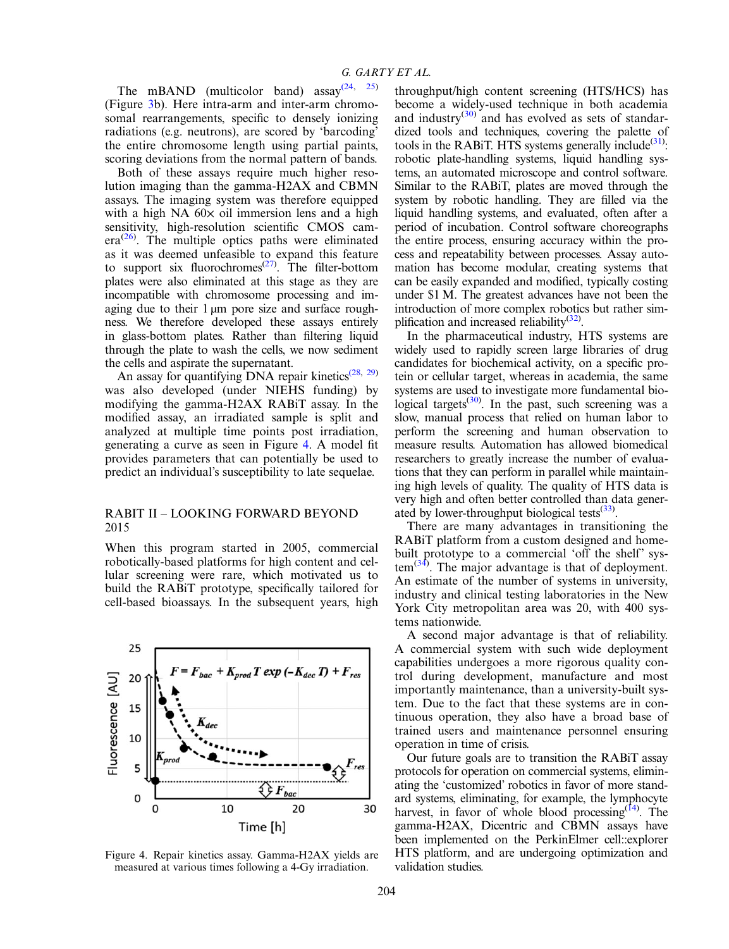The mBAND (multicolor band)  $assay^{(24, 25)}$  $assay^{(24, 25)}$  $assay^{(24, 25)}$  $assay^{(24, 25)}$  $assay^{(24, 25)}$ (Figure [3](#page-2-0)b). Here intra-arm and inter-arm chromosomal rearrangements, specific to densely ionizing radiations (e.g. neutrons), are scored by 'barcoding' the entire chromosome length using partial paints, scoring deviations from the normal pattern of bands.

Both of these assays require much higher resolution imaging than the gamma-H2AX and CBMN assays. The imaging system was therefore equipped with a high NA  $60 \times$  oil immersion lens and a high sensitivity, high-resolution scientific CMOS cam-era<sup>[\(26\)](#page-5-0)</sup>. The multiple optics paths were eliminated as it was deemed unfeasible to expand this feature to support six fluorochromes<sup> $(27)$  $(27)$  $(27)$ </sup>. The filter-bottom plates were also eliminated at this stage as they are incompatible with chromosome processing and imaging due to their 1 µm pore size and surface roughness. We therefore developed these assays entirely in glass-bottom plates. Rather than filtering liquid through the plate to wash the cells, we now sediment the cells and aspirate the supernatant.

An assay for quantifying DNA repair kinetics<sup> $(28, 29)$  $(28, 29)$ </sup> was also developed (under NIEHS funding) by modifying the gamma-H2AX RABiT assay. In the modified assay, an irradiated sample is split and analyzed at multiple time points post irradiation, generating a curve as seen in Figure 4. A model fit provides parameters that can potentially be used to predict an individual's susceptibility to late sequelae.

# RABIT II – LOOKING FORWARD BEYOND 2015

When this program started in 2005, commercial robotically-based platforms for high content and cellular screening were rare, which motivated us to build the RABiT prototype, specifically tailored for cell-based bioassays. In the subsequent years, high



Figure 4. Repair kinetics assay. Gamma-H2AX yields are measured at various times following a 4-Gy irradiation.

throughput/high content screening (HTS/HCS) has become a widely-used technique in both academia and industry $(30)$  $(30)$  and has evolved as sets of standardized tools and techniques, covering the palette of tools in the RABiT. HTS systems generally include<sup>[\(31\)](#page-5-0)</sup>: robotic plate-handling systems, liquid handling systems, an automated microscope and control software. Similar to the RABiT, plates are moved through the system by robotic handling. They are filled via the liquid handling systems, and evaluated, often after a period of incubation. Control software choreographs the entire process, ensuring accuracy within the process and repeatability between processes. Assay automation has become modular, creating systems that can be easily expanded and modified, typically costing under \$1 M. The greatest advances have not been the introduction of more complex robotics but rather sim-plification and increased reliability<sup>[\(32\)](#page-5-0)</sup>.

In the pharmaceutical industry, HTS systems are widely used to rapidly screen large libraries of drug candidates for biochemical activity, on a specific protein or cellular target, whereas in academia, the same systems are used to investigate more fundamental biological targets $(30)$ . In the past, such screening was a slow, manual process that relied on human labor to perform the screening and human observation to measure results. Automation has allowed biomedical researchers to greatly increase the number of evaluations that they can perform in parallel while maintaining high levels of quality. The quality of HTS data is very high and often better controlled than data gener-ated by lower-throughput biological tests<sup>[\(33\)](#page-5-0)</sup>.

There are many advantages in transitioning the RABiT platform from a custom designed and homebuilt prototype to a commercial 'off the shelf' sys- $tem^{(34)}$  $tem^{(34)}$  $tem^{(34)}$ . The major advantage is that of deployment. An estimate of the number of systems in university, industry and clinical testing laboratories in the New York City metropolitan area was 20, with 400 systems nationwide.

A second major advantage is that of reliability. A commercial system with such wide deployment capabilities undergoes a more rigorous quality control during development, manufacture and most importantly maintenance, than a university-built system. Due to the fact that these systems are in continuous operation, they also have a broad base of trained users and maintenance personnel ensuring operation in time of crisis.

Our future goals are to transition the RABiT assay protocols for operation on commercial systems, eliminating the 'customized' robotics in favor of more standard systems, eliminating, for example, the lymphocyte harvest, in favor of whole blood processing $(14)$ . The gamma-H2AX, Dicentric and CBMN assays have been implemented on the PerkinElmer cell::explorer HTS platform, and are undergoing optimization and validation studies.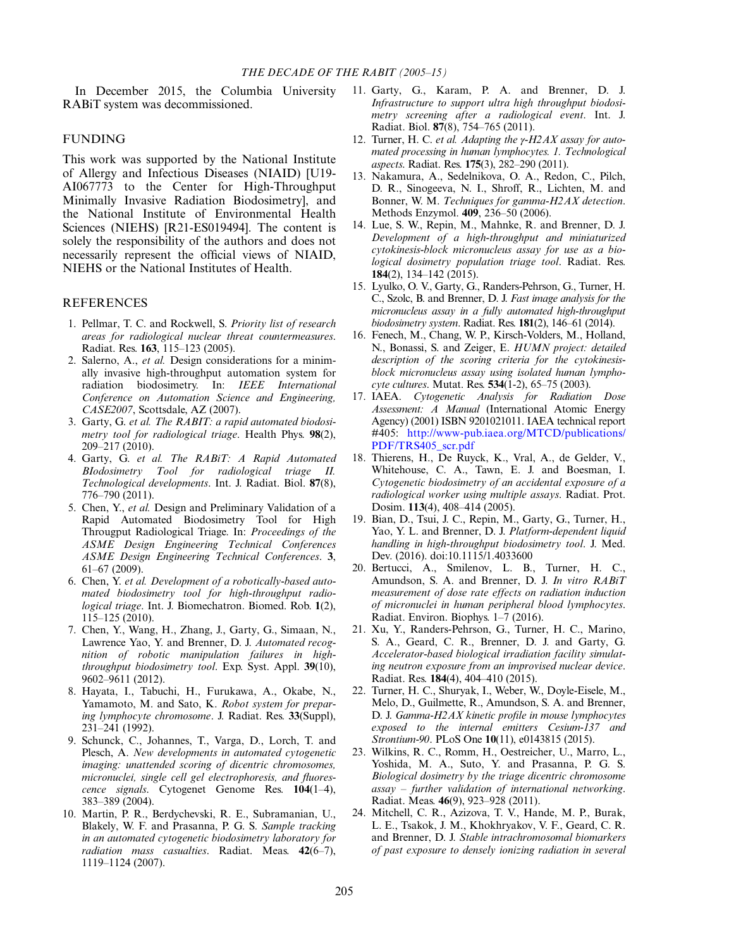<span id="page-4-0"></span>In December 2015, the Columbia University RABiT system was decommissioned.

## FUNDING

This work was supported by the National Institute of Allergy and Infectious Diseases (NIAID) [U19- AI067773 to the Center for High-Throughput Minimally Invasive Radiation Biodosimetry], and the National Institute of Environmental Health Sciences (NIEHS) [R21-ES019494]. The content is solely the responsibility of the authors and does not necessarily represent the official views of NIAID, NIEHS or the National Institutes of Health.

#### REFERENCES

- 1. Pellmar, T. C. and Rockwell, S. Priority list of research areas for radiological nuclear threat countermeasures. Radiat. Res. 163, 115–123 (2005).
- 2. Salerno, A., et al. Design considerations for a minimally invasive high-throughput automation system for radiation biodosimetry. In: IEEE International Conference on Automation Science and Engineering, CASE2007, Scottsdale, AZ (2007).
- 3. Garty, G. et al. The RABIT: a rapid automated biodosimetry tool for radiological triage. Health Phys. 98(2), 209–217 (2010).
- 4. Garty, G. et al. The RABiT: A Rapid Automated BIodosimetry Tool for radiological triage II. Technological developments. Int. J. Radiat. Biol. 87(8), 776–790 (2011).
- 5. Chen, Y., et al. Design and Preliminary Validation of a Rapid Automated Biodosimetry Tool for High Througput Radiological Triage. In: Proceedings of the ASME Design Engineering Technical Conferences ASME Design Engineering Technical Conferences. 3, 61–67 (2009).
- 6. Chen, Y. et al. Development of a robotically-based automated biodosimetry tool for high-throughput radiological triage. Int. J. Biomechatron. Biomed. Rob. 1(2), 115–125 (2010).
- 7. Chen, Y., Wang, H., Zhang, J., Garty, G., Simaan, N., Lawrence Yao, Y. and Brenner, D. J. Automated recognition of robotic manipulation failures in highthroughput biodosimetry tool. Exp. Syst. Appl. 39(10), 9602–9611 (2012).
- 8. Hayata, I., Tabuchi, H., Furukawa, A., Okabe, N., Yamamoto, M. and Sato, K. Robot system for preparing lymphocyte chromosome. J. Radiat. Res. 33(Suppl), 231–241 (1992).
- 9. Schunck, C., Johannes, T., Varga, D., Lorch, T. and Plesch, A. New developments in automated cytogenetic imaging: unattended scoring of dicentric chromosomes, micronuclei, single cell gel electrophoresis, and fluorescence signals. Cytogenet Genome Res. 104(1–4), 383–389 (2004).
- 10. Martin, P. R., Berdychevski, R. E., Subramanian, U., Blakely, W. F. and Prasanna, P. G. S. Sample tracking in an automated cytogenetic biodosimetry laboratory for radiation mass casualties. Radiat. Meas. 42(6-7), 1119–1124 (2007).
- 11. Garty, G., Karam, P. A. and Brenner, D. J. Infrastructure to support ultra high throughput biodosimetry screening after a radiological event. Int. J. Radiat. Biol. 87(8), 754–765 (2011).
- 12. Turner, H. C. et al. Adapting the γ-H2AX assay for automated processing in human lymphocytes. 1. Technological aspects. Radiat. Res. 175(3), 282–290 (2011).
- 13. Nakamura, A., Sedelnikova, O. A., Redon, C., Pilch, D. R., Sinogeeva, N. I., Shroff, R., Lichten, M. and Bonner, W. M. Techniques for gamma-H2AX detection. Methods Enzymol. 409, 236–50 (2006).
- 14. Lue, S. W., Repin, M., Mahnke, R. and Brenner, D. J. Development of a high-throughput and miniaturized cytokinesis-block micronucleus assay for use as a biological dosimetry population triage tool. Radiat. Res. 184(2), 134–142 (2015).
- 15. Lyulko, O. V., Garty, G., Randers-Pehrson, G., Turner, H. C., Szolc, B. and Brenner, D. J. Fast image analysis for the micronucleus assay in a fully automated high-throughput biodosimetry system. Radiat. Res. 181(2), 146–61 (2014).
- 16. Fenech, M., Chang, W. P., Kirsch-Volders, M., Holland, N., Bonassi, S. and Zeiger, E. HUMN project: detailed description of the scoring criteria for the cytokinesisblock micronucleus assay using isolated human lymphocyte cultures. Mutat. Res. 534(1-2), 65-75 (2003).
- 17. IAEA. Cytogenetic Analysis for Radiation Dose Assessment: A Manual (International Atomic Energy Agency) (2001) ISBN 9201021011. IAEA technical report #405: [http://www-pub.iaea.org/MTCD/publications/](http://www-pub.iaea.org/MTCD/publications/PDF/TRS405_scr.pdf) [PDF/TRS405\\_scr.pdf](http://www-pub.iaea.org/MTCD/publications/PDF/TRS405_scr.pdf)
- 18. Thierens, H., De Ruyck, K., Vral, A., de Gelder, V., Whitehouse, C. A., Tawn, E. J. and Boesman, I. Cytogenetic biodosimetry of an accidental exposure of a radiological worker using multiple assays. Radiat. Prot. Dosim. 113(4), 408–414 (2005).
- 19. Bian, D., Tsui, J. C., Repin, M., Garty, G., Turner, H., Yao, Y. L. and Brenner, D. J. Platform-dependent liquid handling in high-throughput biodosimetry tool. J. Med. Dev. (2016). doi:10.1115/1.4033600
- 20. Bertucci, A., Smilenov, L. B., Turner, H. C., Amundson, S. A. and Brenner, D. J. In vitro RABiT measurement of dose rate effects on radiation induction of micronuclei in human peripheral blood lymphocytes. Radiat. Environ. Biophys. 1–7 (2016).
- 21. Xu, Y., Randers-Pehrson, G., Turner, H. C., Marino, S. A., Geard, C. R., Brenner, D. J. and Garty, G. Accelerator-based biological irradiation facility simulating neutron exposure from an improvised nuclear device. Radiat. Res. 184(4), 404–410 (2015).
- 22. Turner, H. C., Shuryak, I., Weber, W., Doyle-Eisele, M., Melo, D., Guilmette, R., Amundson, S. A. and Brenner, D. J. Gamma-H2AX kinetic profile in mouse lymphocytes exposed to the internal emitters Cesium-137 and Strontium-90. PLoS One 10(11), e0143815 (2015).
- 23. Wilkins, R. C., Romm, H., Oestreicher, U., Marro, L., Yoshida, M. A., Suto, Y. and Prasanna, P. G. S. Biological dosimetry by the triage dicentric chromosome assay – further validation of international networking. Radiat. Meas. 46(9), 923–928 (2011).
- 24. Mitchell, C. R., Azizova, T. V., Hande, M. P., Burak, L. E., Tsakok, J. M., Khokhryakov, V. F., Geard, C. R. and Brenner, D. J. Stable intrachromosomal biomarkers of past exposure to densely ionizing radiation in several